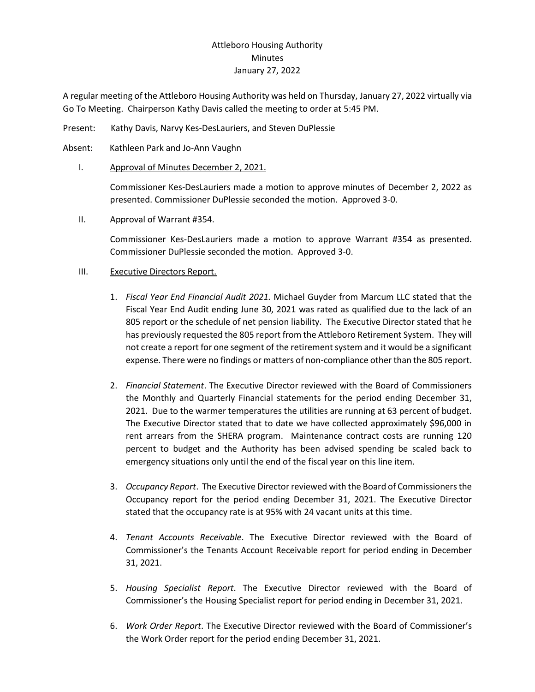# Attleboro Housing Authority **Minutes** January 27, 2022

A regular meeting of the Attleboro Housing Authority was held on Thursday, January 27, 2022 virtually via Go To Meeting. Chairperson Kathy Davis called the meeting to order at 5:45 PM.

- Present: Kathy Davis, Narvy Kes-DesLauriers, and Steven DuPlessie
- Absent: Kathleen Park and Jo-Ann Vaughn
	- I. Approval of Minutes December 2, 2021.

Commissioner Kes-DesLauriers made a motion to approve minutes of December 2, 2022 as presented. Commissioner DuPlessie seconded the motion. Approved 3-0.

II. Approval of Warrant #354.

Commissioner Kes-DesLauriers made a motion to approve Warrant #354 as presented. Commissioner DuPlessie seconded the motion. Approved 3-0.

### III. Executive Directors Report.

- 1. *Fiscal Year End Financial Audit 2021.* Michael Guyder from Marcum LLC stated that the Fiscal Year End Audit ending June 30, 2021 was rated as qualified due to the lack of an 805 report or the schedule of net pension liability. The Executive Director stated that he has previously requested the 805 report from the Attleboro Retirement System. They will not create a report for one segment of the retirement system and it would be a significant expense. There were no findings or matters of non-compliance other than the 805 report.
- 2. *Financial Statement*. The Executive Director reviewed with the Board of Commissioners the Monthly and Quarterly Financial statements for the period ending December 31, 2021. Due to the warmer temperatures the utilities are running at 63 percent of budget. The Executive Director stated that to date we have collected approximately \$96,000 in rent arrears from the SHERA program. Maintenance contract costs are running 120 percent to budget and the Authority has been advised spending be scaled back to emergency situations only until the end of the fiscal year on this line item.
- 3. *Occupancy Report*. The Executive Director reviewed with the Board of Commissioners the Occupancy report for the period ending December 31, 2021. The Executive Director stated that the occupancy rate is at 95% with 24 vacant units at this time.
- 4. *Tenant Accounts Receivable*. The Executive Director reviewed with the Board of Commissioner's the Tenants Account Receivable report for period ending in December 31, 2021.
- 5. *Housing Specialist Report*. The Executive Director reviewed with the Board of Commissioner's the Housing Specialist report for period ending in December 31, 2021.
- 6. *Work Order Report*. The Executive Director reviewed with the Board of Commissioner's the Work Order report for the period ending December 31, 2021.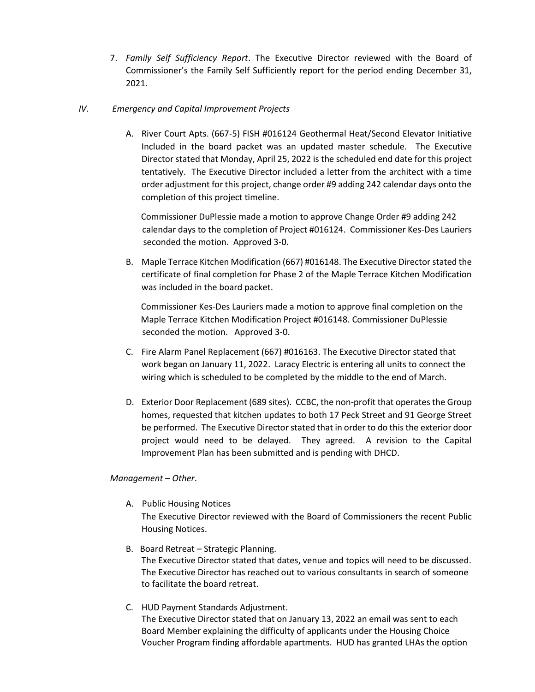7. *Family Self Sufficiency Report*. The Executive Director reviewed with the Board of Commissioner's the Family Self Sufficiently report for the period ending December 31, 2021.

#### *IV. Emergency and Capital Improvement Projects*

A. River Court Apts. (667-5) FISH #016124 Geothermal Heat/Second Elevator Initiative Included in the board packet was an updated master schedule. The Executive Director stated that Monday, April 25, 2022 is the scheduled end date for this project tentatively. The Executive Director included a letter from the architect with a time order adjustment for this project, change order #9 adding 242 calendar days onto the completion of this project timeline.

 Commissioner DuPlessie made a motion to approve Change Order #9 adding 242 calendar days to the completion of Project #016124. Commissioner Kes-Des Lauriers seconded the motion. Approved 3-0.

B. Maple Terrace Kitchen Modification (667) #016148. The Executive Directorstated the certificate of final completion for Phase 2 of the Maple Terrace Kitchen Modification was included in the board packet.

 Commissioner Kes-Des Lauriers made a motion to approve final completion on the Maple Terrace Kitchen Modification Project #016148. Commissioner DuPlessie seconded the motion. Approved 3-0.

- C. Fire Alarm Panel Replacement (667) #016163. The Executive Director stated that work began on January 11, 2022. Laracy Electric is entering all units to connect the wiring which is scheduled to be completed by the middle to the end of March.
- D. Exterior Door Replacement (689 sites). CCBC, the non-profit that operates the Group homes, requested that kitchen updates to both 17 Peck Street and 91 George Street be performed. The Executive Director stated that in order to do this the exterior door project would need to be delayed. They agreed. A revision to the Capital Improvement Plan has been submitted and is pending with DHCD.

#### *Management – Other*.

A. Public Housing Notices

The Executive Director reviewed with the Board of Commissioners the recent Public Housing Notices.

- B. Board Retreat Strategic Planning. The Executive Director stated that dates, venue and topics will need to be discussed. The Executive Director has reached out to various consultants in search of someone to facilitate the board retreat.
- C. HUD Payment Standards Adjustment. The Executive Director stated that on January 13, 2022 an email was sent to each Board Member explaining the difficulty of applicants under the Housing Choice Voucher Program finding affordable apartments. HUD has granted LHAs the option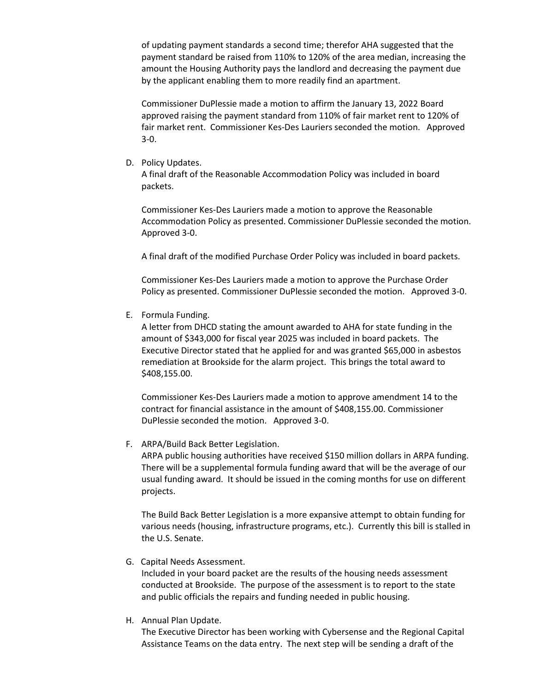of updating payment standards a second time; therefor AHA suggested that the payment standard be raised from 110% to 120% of the area median, increasing the amount the Housing Authority pays the landlord and decreasing the payment due by the applicant enabling them to more readily find an apartment.

Commissioner DuPlessie made a motion to affirm the January 13, 2022 Board approved raising the payment standard from 110% of fair market rent to 120% of fair market rent. Commissioner Kes-Des Lauriers seconded the motion. Approved 3-0.

D. Policy Updates.

A final draft of the Reasonable Accommodation Policy was included in board packets.

Commissioner Kes-Des Lauriers made a motion to approve the Reasonable Accommodation Policy as presented. Commissioner DuPlessie seconded the motion. Approved 3-0.

A final draft of the modified Purchase Order Policy was included in board packets.

Commissioner Kes-Des Lauriers made a motion to approve the Purchase Order Policy as presented. Commissioner DuPlessie seconded the motion. Approved 3-0.

E. Formula Funding.

A letter from DHCD stating the amount awarded to AHA for state funding in the amount of \$343,000 for fiscal year 2025 was included in board packets. The Executive Director stated that he applied for and was granted \$65,000 in asbestos remediation at Brookside for the alarm project. This brings the total award to \$408,155.00.

Commissioner Kes-Des Lauriers made a motion to approve amendment 14 to the contract for financial assistance in the amount of \$408,155.00. Commissioner DuPlessie seconded the motion. Approved 3-0.

F. ARPA/Build Back Better Legislation.

ARPA public housing authorities have received \$150 million dollars in ARPA funding. There will be a supplemental formula funding award that will be the average of our usual funding award. It should be issued in the coming months for use on different projects.

The Build Back Better Legislation is a more expansive attempt to obtain funding for various needs (housing, infrastructure programs, etc.). Currently this bill is stalled in the U.S. Senate.

G. Capital Needs Assessment.

Included in your board packet are the results of the housing needs assessment conducted at Brookside. The purpose of the assessment is to report to the state and public officials the repairs and funding needed in public housing.

H. Annual Plan Update.

The Executive Director has been working with Cybersense and the Regional Capital Assistance Teams on the data entry. The next step will be sending a draft of the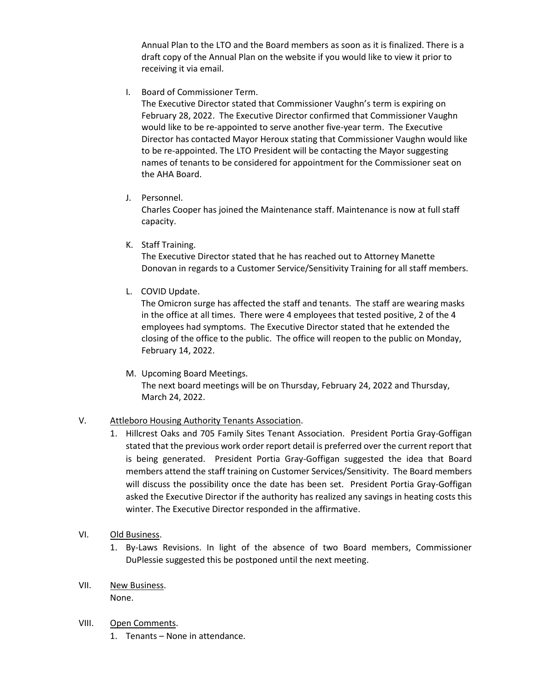Annual Plan to the LTO and the Board members as soon as it is finalized. There is a draft copy of the Annual Plan on the website if you would like to view it prior to receiving it via email.

I. Board of Commissioner Term.

The Executive Director stated that Commissioner Vaughn's term is expiring on February 28, 2022. The Executive Director confirmed that Commissioner Vaughn would like to be re-appointed to serve another five-year term. The Executive Director has contacted Mayor Heroux stating that Commissioner Vaughn would like to be re-appointed. The LTO President will be contacting the Mayor suggesting names of tenants to be considered for appointment for the Commissioner seat on the AHA Board.

J. Personnel.

Charles Cooper has joined the Maintenance staff. Maintenance is now at full staff capacity.

K. Staff Training.

The Executive Director stated that he has reached out to Attorney Manette Donovan in regards to a Customer Service/Sensitivity Training for all staff members.

L. COVID Update.

 The Omicron surge has affected the staff and tenants. The staff are wearing masks in the office at all times. There were 4 employees that tested positive, 2 of the 4 employees had symptoms. The Executive Director stated that he extended the closing of the office to the public. The office will reopen to the public on Monday, February 14, 2022.

M. Upcoming Board Meetings.

The next board meetings will be on Thursday, February 24, 2022 and Thursday, March 24, 2022.

## V. Attleboro Housing Authority Tenants Association.

- 1. Hillcrest Oaks and 705 Family Sites Tenant Association. President Portia Gray-Goffigan stated that the previous work order report detail is preferred over the current report that is being generated. President Portia Gray-Goffigan suggested the idea that Board members attend the staff training on Customer Services/Sensitivity. The Board members will discuss the possibility once the date has been set. President Portia Gray-Goffigan asked the Executive Director if the authority has realized any savings in heating costs this winter. The Executive Director responded in the affirmative.
- VI. Old Business.
	- 1. By-Laws Revisions. In light of the absence of two Board members, Commissioner DuPlessie suggested this be postponed until the next meeting.
- VII. New Business.

None.

- VIII. Open Comments.
	- 1. Tenants None in attendance.